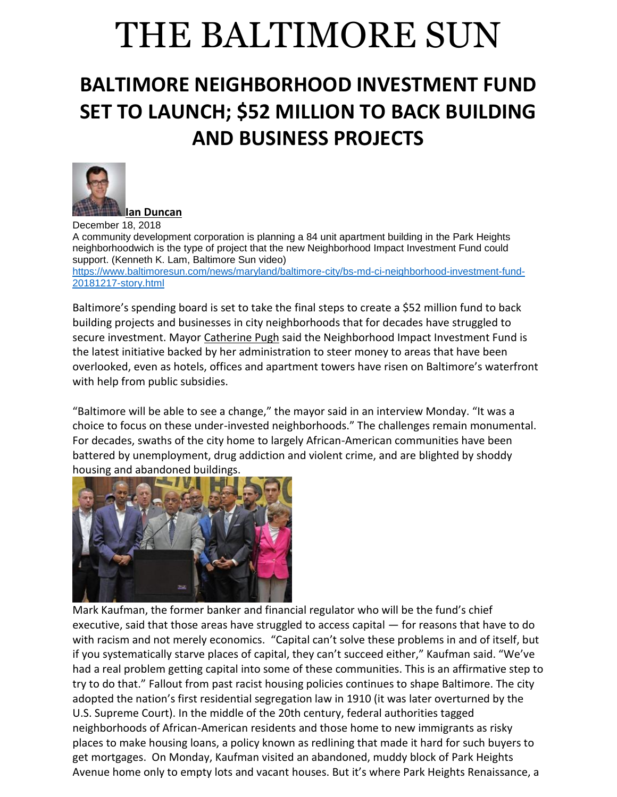## THE BALTIMORE SUN

## **BALTIMORE NEIGHBORHOOD INVESTMENT FUND SET TO LAUNCH; \$52 MILLION TO BACK BUILDING AND BUSINESS PROJECTS**



December 18, 2018 A community development corporation is planning a 84 unit apartment building in the Park Heights neighborhoodwich is the type of project that the new Neighborhood Impact Investment Fund could support. (Kenneth K. Lam, Baltimore Sun video) [https://www.baltimoresun.com/news/maryland/baltimore-city/bs-md-ci-neighborhood-investment-fund-](https://www.baltimoresun.com/news/maryland/baltimore-city/bs-md-ci-neighborhood-investment-fund-20181217-story.html)[20181217-story.html](https://www.baltimoresun.com/news/maryland/baltimore-city/bs-md-ci-neighborhood-investment-fund-20181217-story.html)

Baltimore's spending board is set to take the final steps to create a \$52 million fund to back building projects and businesses in city neighborhoods that for decades have struggled to secure investment. Mayor [Catherine Pugh](https://www.baltimoresun.com/topic/politics-government/government/catherine-pugh-PEPLT00007656-topic.html) said the Neighborhood Impact Investment Fund is the latest initiative backed by her administration to steer money to areas that have been overlooked, even as hotels, offices and apartment towers have risen on Baltimore's waterfront with help from public subsidies.

"Baltimore will be able to see a change," the mayor said in an interview Monday. "It was a choice to focus on these under-invested neighborhoods." The challenges remain monumental. For decades, swaths of the city home to largely African-American communities have been battered by unemployment, drug addiction and violent crime, and are blighted by shoddy housing and abandoned buildings.



Mark Kaufman, the former banker and financial regulator who will be the fund's chief executive, said that those areas have struggled to access capital — for reasons that have to do with racism and not merely economics. "Capital can't solve these problems in and of itself, but if you systematically starve places of capital, they can't succeed either," Kaufman said. "We've had a real problem getting capital into some of these communities. This is an affirmative step to try to do that." Fallout from past racist housing policies continues to shape Baltimore. The city adopted the nation's first residential segregation law in 1910 (it was later overturned by the U.S. Supreme Court). In the middle of the 20th century, federal authorities tagged neighborhoods of African-American residents and those home to new immigrants as risky places to make housing loans, a policy known as redlining that made it hard for such buyers to get mortgages. On Monday, Kaufman visited an abandoned, muddy block of Park Heights Avenue home only to empty lots and vacant houses. But it's where Park Heights Renaissance, a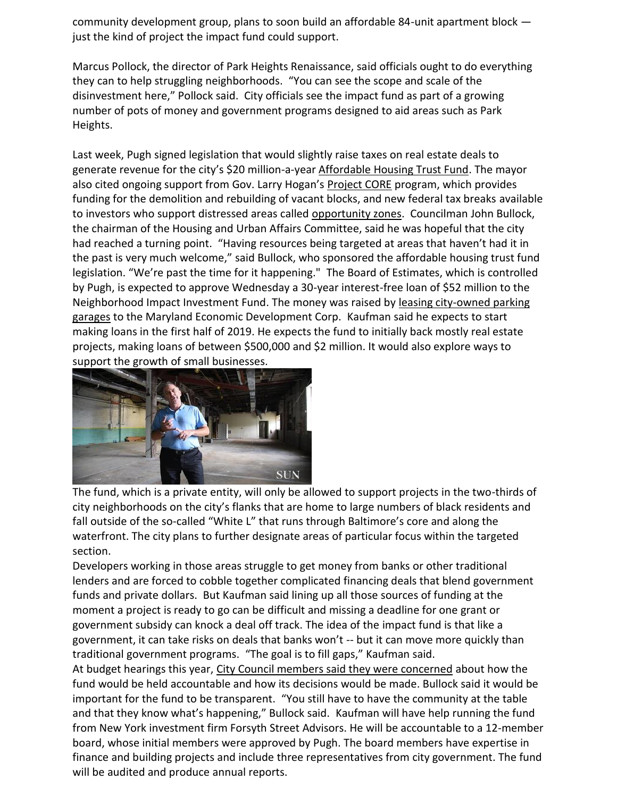community development group, plans to soon build an affordable 84-unit apartment block just the kind of project the impact fund could support.

Marcus Pollock, the director of Park Heights Renaissance, said officials ought to do everything they can to help struggling neighborhoods. "You can see the scope and scale of the disinvestment here," Pollock said. City officials see the impact fund as part of a growing number of pots of money and government programs designed to aid areas such as Park Heights.

Last week, Pugh signed legislation that would slightly raise taxes on real estate deals to generate revenue for the city's \$20 million-a-year [Affordable Housing Trust Fund.](https://www.baltimoresun.com/news/maryland/politics/bs-md-ci-council-housing-20181015-story.html) The mayor also cited ongoing support from Gov. Larry Hogan's [Project CORE](https://www.baltimoresun.com/news/maryland/baltimore-city/bs-md-ci-demolition-crime-20180327-story.html) program, which provides funding for the demolition and rebuilding of vacant blocks, and new federal tax breaks available to investors who support distressed areas called [opportunity zones.](https://www.baltimoresun.com/business/bs-bz-opportunity-zone-investment-20180921-story.html) Councilman John Bullock, the chairman of the Housing and Urban Affairs Committee, said he was hopeful that the city had reached a turning point. "Having resources being targeted at areas that haven't had it in the past is very much welcome," said Bullock, who sponsored the affordable housing trust fund legislation. "We're past the time for it happening." The Board of Estimates, which is controlled by Pugh, is expected to approve Wednesday a 30-year interest-free loan of \$52 million to the Neighborhood Impact Investment Fund. The money was raised by [leasing city-owned parking](https://www.baltimoresun.com/news/maryland/politics/bs-md-ci-neighborhood-impact-fund-20180501-story.html)  [garages](https://www.baltimoresun.com/news/maryland/politics/bs-md-ci-neighborhood-impact-fund-20180501-story.html) to the Maryland Economic Development Corp. Kaufman said he expects to start making loans in the first half of 2019. He expects the fund to initially back mostly real estate projects, making loans of between \$500,000 and \$2 million. It would also explore ways to support the growth of small businesses.



The fund, which is a private entity, will only be allowed to support projects in the two-thirds of city neighborhoods on the city's flanks that are home to large numbers of black residents and fall outside of the so-called "White L" that runs through Baltimore's core and along the waterfront. The city plans to further designate areas of particular focus within the targeted section.

Developers working in those areas struggle to get money from banks or other traditional lenders and are forced to cobble together complicated financing deals that blend government funds and private dollars. But Kaufman said lining up all those sources of funding at the moment a project is ready to go can be difficult and missing a deadline for one grant or government subsidy can knock a deal off track. The idea of the impact fund is that like a government, it can take risks on deals that banks won't -- but it can move more quickly than traditional government programs. "The goal is to fill gaps," Kaufman said.

At budget hearings this year, [City Council members said they were concerned](https://www.baltimoresun.com/news/maryland/politics/bs-md-ci-investment-fund-council-20180530-story.html) about how the fund would be held accountable and how its decisions would be made. Bullock said it would be important for the fund to be transparent. "You still have to have the community at the table and that they know what's happening," Bullock said. Kaufman will have help running the fund from New York investment firm Forsyth Street Advisors. He will be accountable to a 12-member board, whose initial members were approved by Pugh. The board members have expertise in finance and building projects and include three representatives from city government. The fund will be audited and produce annual reports.